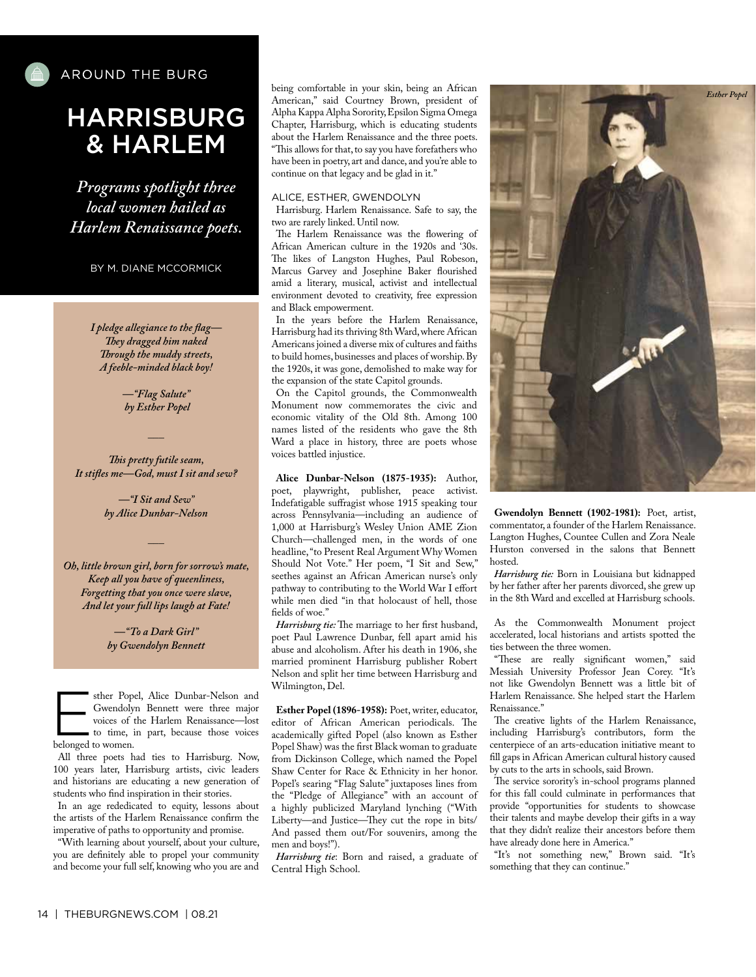

## HARRISBURG & HARLEM

*Programs spotlight three local women hailed as Harlem Renaissance poets.*

BY M. DIANE MCCORMICK

*I pledge allegiance to the fag— Tey dragged him naked Trough the muddy streets, A feeble-minded black boy!*

> *—"Flag Salute" by Esther Popel*

*Tis pretty futile seam, It stifes me—God, must I sit and sew?*

*\_\_\_*

*—"I Sit and Sew" by Alice Dunbar-Nelson*

*\_\_\_*

*Oh, little brown girl, born for sorrow's mate, Keep all you have of queenliness, Forgetting that you once were slave, And let your full lips laugh at Fate!*

> *—"To a Dark Girl" by Gwendolyn Bennett*

sther Popel, Alice Dunbar-Nelson and<br>
Gwendolyn Bennett were three major<br>
voices of the Harlem Renaissance—lost<br>
to time, in part, because those voices<br>
belonged to use Gwendolyn Bennett were three major voices of the Harlem Renaissance—lost belonged to women.

All three poets had ties to Harrisburg. Now, 100 years later, Harrisburg artists, civic leaders and historians are educating a new generation of students who fnd inspiration in their stories.

In an age rededicated to equity, lessons about the artists of the Harlem Renaissance confrm the imperative of paths to opportunity and promise.

"With learning about yourself, about your culture, you are defnitely able to propel your community and become your full self, knowing who you are and being comfortable in your skin, being an African American," said Courtney Brown, president of Alpha Kappa Alpha Sorority, Epsilon Sigma Omega Chapter, Harrisburg, which is educating students about the Harlem Renaissance and the three poets. "This allows for that, to say you have forefathers who have been in poetry, art and dance, and you're able to continue on that legacy and be glad in it."

#### ALICE, ESTHER, GWENDOLYN

Harrisburg. Harlem Renaissance. Safe to say, the two are rarely linked. Until now.

The Harlem Renaissance was the flowering of African American culture in the 1920s and '30s. The likes of Langston Hughes, Paul Robeson, Marcus Garvey and Josephine Baker fourished amid a literary, musical, activist and intellectual environment devoted to creativity, free expression and Black empowerment.

In the years before the Harlem Renaissance, Harrisburg had its thriving 8th Ward, where African Americans joined a diverse mix of cultures and faiths to build homes, businesses and places of worship. By the 1920s, it was gone, demolished to make way for the expansion of the state Capitol grounds.

On the Capitol grounds, the Commonwealth Monument now commemorates the civic and economic vitality of the Old 8th. Among 100 names listed of the residents who gave the 8th Ward a place in history, three are poets whose voices battled injustice.

**Alice Dunbar-Nelson (1875-1935):** Author, poet, playwright, publisher, peace activist. Indefatigable sufragist whose 1915 speaking tour across Pennsylvania—including an audience of 1,000 at Harrisburg's Wesley Union AME Zion Church—challenged men, in the words of one headline, "to Present Real Argument Why Women Should Not Vote." Her poem, "I Sit and Sew," seethes against an African American nurse's only pathway to contributing to the World War I efort while men died "in that holocaust of hell, those felds of woe."

Harrisburg tie: The marriage to her first husband, poet Paul Lawrence Dunbar, fell apart amid his abuse and alcoholism. After his death in 1906, she married prominent Harrisburg publisher Robert Nelson and split her time between Harrisburg and Wilmington, Del.

**Esther Popel (1896-1958):** Poet, writer, educator, editor of African American periodicals. The academically gifted Popel (also known as Esther Popel Shaw) was the frst Black woman to graduate from Dickinson College, which named the Popel Shaw Center for Race & Ethnicity in her honor. Popel's searing "Flag Salute" juxtaposes lines from the "Pledge of Allegiance" with an account of a highly publicized Maryland lynching ("With Liberty—and Justice—They cut the rope in bits/ And passed them out/For souvenirs, among the men and boys!").

*Harrisburg tie*: Born and raised, a graduate of Central High School.



**Gwendolyn Bennett (1902-1981):** Poet, artist, commentator, a founder of the Harlem Renaissance. Langton Hughes, Countee Cullen and Zora Neale Hurston conversed in the salons that Bennett hosted.

*Harrisburg tie:* Born in Louisiana but kidnapped by her father after her parents divorced, she grew up in the 8th Ward and excelled at Harrisburg schools.

As the Commonwealth Monument project accelerated, local historians and artists spotted the ties between the three women.

"These are really significant women," said Messiah University Professor Jean Corey. "It's not like Gwendolyn Bennett was a little bit of Harlem Renaissance. She helped start the Harlem Renaissance."

The creative lights of the Harlem Renaissance, including Harrisburg's contributors, form the centerpiece of an arts-education initiative meant to fll gaps in African American cultural history caused by cuts to the arts in schools, said Brown.

The service sorority's in-school programs planned for this fall could culminate in performances that provide "opportunities for students to showcase their talents and maybe develop their gifts in a way that they didn't realize their ancestors before them have already done here in America."

"It's not something new," Brown said. "It's something that they can continue."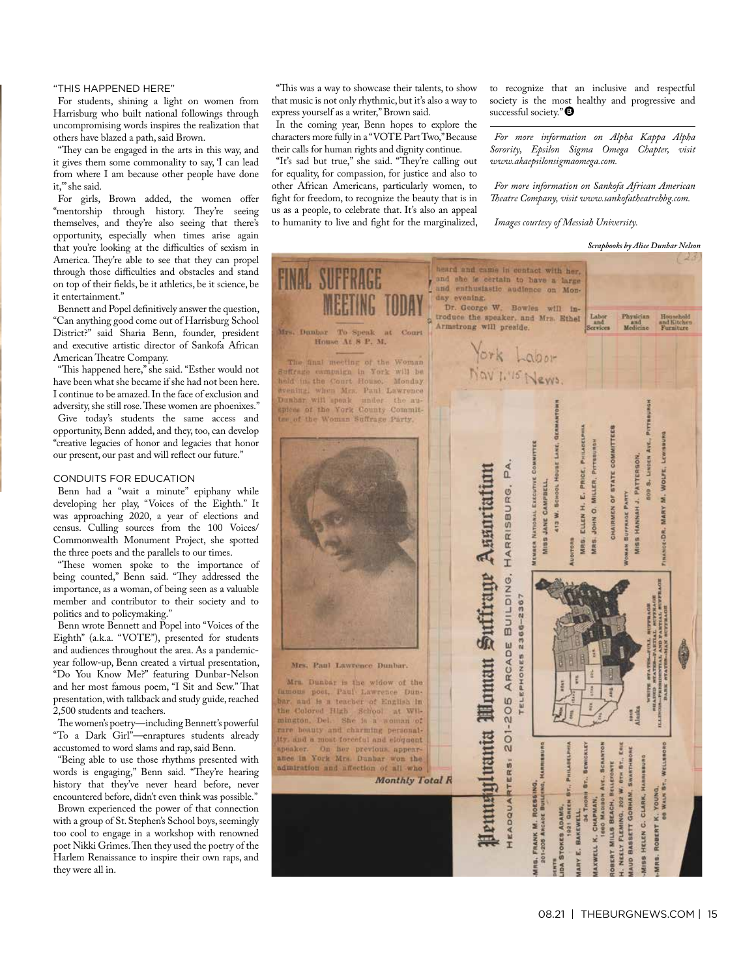## "THIS HAPPENED HERE"

For students, shining a light on women from Harrisburg who built national followings through uncompromising words inspires the realization that others have blazed a path, said Brown.

"They can be engaged in the arts in this way, and it gives them some commonality to say, 'I can lead from where I am because other people have done it,'" she said.

For girls, Brown added, the women offer "mentorship through history. They're seeing themselves, and they're also seeing that there's opportunity, especially when times arise again that you're looking at the difficulties of sexism in America. They're able to see that they can propel through those difficulties and obstacles and stand on top of their felds, be it athletics, be it science, be it entertainment."

Bennett and Popel defnitively answer the question, "Can anything good come out of Harrisburg School District?" said Sharia Benn, founder, president and executive artistic director of Sankofa African American Theatre Company.

"This happened here," she said. "Esther would not have been what she became if she had not been here. I continue to be amazed. In the face of exclusion and adversity, she still rose. These women are phoenixes." Give today's students the same access and opportunity, Benn added, and they, too, can develop "creative legacies of honor and legacies that honor our present, our past and will refect our future."

## CONDUITS FOR EDUCATION

Benn had a "wait a minute" epiphany while developing her play, "Voices of the Eighth." It was approaching 2020, a year of elections and census. Culling sources from the 100 Voices/ Commonwealth Monument Project, she spotted the three poets and the parallels to our times.

"These women spoke to the importance of being counted," Benn said. "They addressed the importance, as a woman, of being seen as a valuable member and contributor to their society and to politics and to policymaking."

Benn wrote Bennett and Popel into "Voices of the Eighth" (a.k.a. "VOTE"), presented for students and audiences throughout the area. As a pandemicyear follow-up, Benn created a virtual presentation, "Do You Know Me?" featuring Dunbar-Nelson and her most famous poem, "I Sit and Sew." That presentation, with talkback and study guide, reached 2,500 students and teachers.

The women's poetry—including Bennett's powerful "To a Dark Girl"—enraptures students already accustomed to word slams and rap, said Benn.

"Being able to use those rhythms presented with words is engaging," Benn said. "They're hearing history that they've never heard before, never encountered before, didn't even think was possible." Brown experienced the power of that connection with a group of St. Stephen's School boys, seemingly too cool to engage in a workshop with renowned poet Nikki Grimes. Then they used the poetry of the Harlem Renaissance to inspire their own raps, and they were all in.

"Tis was a way to showcase their talents, to show that music is not only rhythmic, but it's also a way to express yourself as a writer," Brown said.

In the coming year, Benn hopes to explore the characters more fully in a "VOTE Part Two," Because their calls for human rights and dignity continue.

"It's sad but true," she said. "They're calling out for equality, for compassion, for justice and also to other African Americans, particularly women, to fght for freedom, to recognize the beauty that is in us as a people, to celebrate that. It's also an appeal to humanity to live and fght for the marginalized, to recognize that an inclusive and respectful society is the most healthy and progressive and successful society."<sup>O</sup>

*For more information on Alpha Kappa Alpha Sorority, Epsilon Sigma Omega Chapter, visit www.akaepsilonsigmaomega.com.* 

*For more information on Sankofa African American Teatre Company, visit www.sankofatheatrehbg.com.*

*Images courtesy of Messiah University.* 

| <b>Scrapbooks by Alice Dunbar Nelson</b> |  |  |
|------------------------------------------|--|--|
|                                          |  |  |

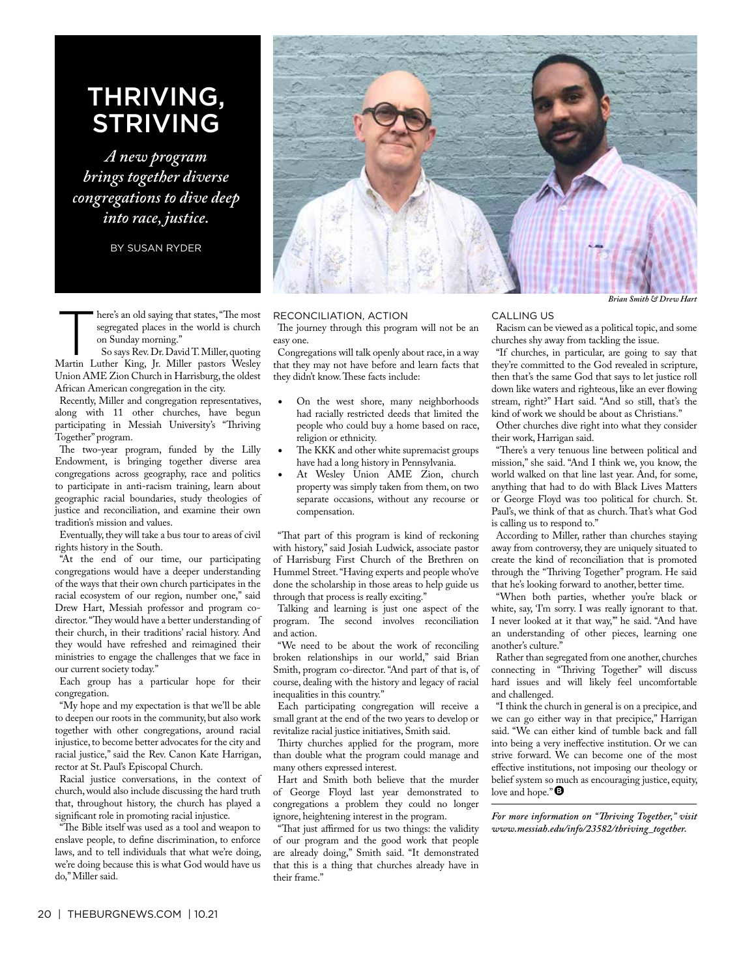## THRIVING, STRIVING

*A new program brings together diverse congregations to dive deep into race, justice.*

BY SUSAN RYDER

here's an old saying that states, "The most segregated places in the world is church on Sunday morning."

So says Rev. Dr. David T. Miller, quoting Martin Luther King, Jr. Miller pastors Wesley Union AME Zion Church in Harrisburg, the oldest African American congregation in the city.

Recently, Miller and congregation representatives, along with 11 other churches, have begun participating in Messiah University's "Thriving Together" program.

The two-year program, funded by the Lilly Endowment, is bringing together diverse area congregations across geography, race and politics to participate in anti-racism training, learn about geographic racial boundaries, study theologies of justice and reconciliation, and examine their own tradition's mission and values.

Eventually, they will take a bus tour to areas of civil rights history in the South.

"At the end of our time, our participating congregations would have a deeper understanding of the ways that their own church participates in the racial ecosystem of our region, number one," said Drew Hart, Messiah professor and program codirector. "They would have a better understanding of their church, in their traditions' racial history. And they would have refreshed and reimagined their ministries to engage the challenges that we face in our current society today."

Each group has a particular hope for their congregation.

"My hope and my expectation is that we'll be able to deepen our roots in the community, but also work together with other congregations, around racial injustice, to become better advocates for the city and racial justice," said the Rev. Canon Kate Harrigan, rector at St. Paul's Episcopal Church.

Racial justice conversations, in the context of church, would also include discussing the hard truth that, throughout history, the church has played a signifcant role in promoting racial injustice.

The Bible itself was used as a tool and weapon to enslave people, to defne discrimination, to enforce laws, and to tell individuals that what we're doing, we're doing because this is what God would have us do," Miller said.



## RECONCILIATION, ACTION

The journey through this program will not be an easy one.

Congregations will talk openly about race, in a way that they may not have before and learn facts that they didn't know. These facts include:

- On the west shore, many neighborhoods had racially restricted deeds that limited the people who could buy a home based on race, religion or ethnicity.
- The KKK and other white supremacist groups have had a long history in Pennsylvania.
- At Wesley Union AME Zion, church property was simply taken from them, on two separate occasions, without any recourse or compensation.

"That part of this program is kind of reckoning with history," said Josiah Ludwick, associate pastor of Harrisburg First Church of the Brethren on Hummel Street. "Having experts and people who've done the scholarship in those areas to help guide us through that process is really exciting."

Talking and learning is just one aspect of the program. The second involves reconciliation and action.

"We need to be about the work of reconciling broken relationships in our world," said Brian Smith, program co-director. "And part of that is, of course, dealing with the history and legacy of racial inequalities in this country."

Each participating congregation will receive a small grant at the end of the two years to develop or revitalize racial justice initiatives, Smith said.

Thirty churches applied for the program, more than double what the program could manage and many others expressed interest.

Hart and Smith both believe that the murder of George Floyd last year demonstrated to congregations a problem they could no longer ignore, heightening interest in the program.

That just affirmed for us two things: the validity of our program and the good work that people are already doing," Smith said. "It demonstrated that this is a thing that churches already have in their frame."

## CALLING US

Racism can be viewed as a political topic, and some churches shy away from tackling the issue.

"If churches, in particular, are going to say that they're committed to the God revealed in scripture, then that's the same God that says to let justice roll down like waters and righteous, like an ever fowing stream, right?" Hart said. "And so still, that's the kind of work we should be about as Christians."

Other churches dive right into what they consider their work, Harrigan said.

"There's a very tenuous line between political and mission," she said. "And I think we, you know, the world walked on that line last year. And, for some, anything that had to do with Black Lives Matters or George Floyd was too political for church. St. Paul's, we think of that as church. That's what God is calling us to respond to."

According to Miller, rather than churches staying away from controversy, they are uniquely situated to create the kind of reconciliation that is promoted through the "Thriving Together" program. He said that he's looking forward to another, better time.

"When both parties, whether you're black or white, say, 'I'm sorry. I was really ignorant to that. I never looked at it that way,'" he said. "And have an understanding of other pieces, learning one another's culture."

Rather than segregated from one another, churches connecting in "Thriving Together" will discuss hard issues and will likely feel uncomfortable and challenged.

"I think the church in general is on a precipice, and we can go either way in that precipice," Harrigan said. "We can either kind of tumble back and fall into being a very inefective institution. Or we can strive forward. We can become one of the most efective institutions, not imposing our theology or belief system so much as encouraging justice, equity, love and hope." $\pmb{\Theta}$ 

*For more information on "Triving Together," visit www.messiah.edu/info/23582/thriving\_together.*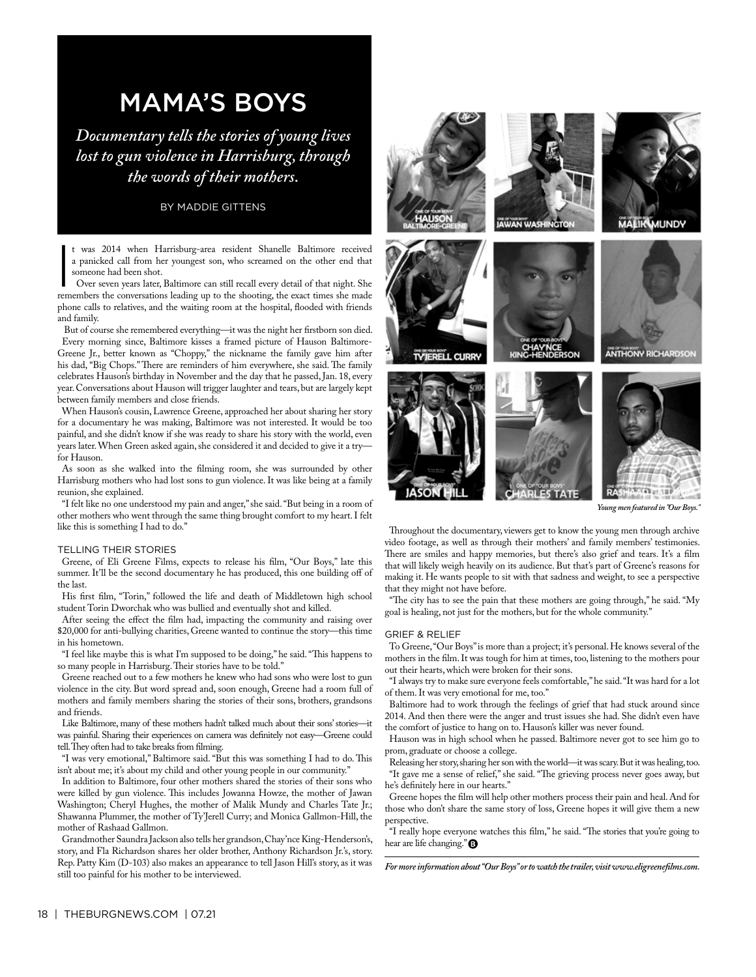## MAMA'S BOYS

*Documentary tells the stories of young lives lost to gun violence in Harrisburg, through the words of their mothers.*

## BY MADDIE GITTENS

t was 2014 when Harrisburg-area resident Shanelle Baltimore received a panicked call from her youngest son, who screamed on the other end that someone had been shot.

 $\overline{\phantom{a}}$ Over seven years later, Baltimore can still recall every detail of that night. She remembers the conversations leading up to the shooting, the exact times she made phone calls to relatives, and the waiting room at the hospital, fooded with friends and family.

 But of course she remembered everything—it was the night her frstborn son died. Every morning since, Baltimore kisses a framed picture of Hauson Baltimore-Greene Jr., better known as "Choppy," the nickname the family gave him after his dad, "Big Chops." There are reminders of him everywhere, she said. The family celebrates Hauson's birthday in November and the day that he passed, Jan. 18, every year. Conversations about Hauson will trigger laughter and tears, but are largely kept between family members and close friends.

When Hauson's cousin, Lawrence Greene, approached her about sharing her story for a documentary he was making, Baltimore was not interested. It would be too painful, and she didn't know if she was ready to share his story with the world, even years later. When Green asked again, she considered it and decided to give it a try for Hauson.

As soon as she walked into the flming room, she was surrounded by other Harrisburg mothers who had lost sons to gun violence. It was like being at a family reunion, she explained.

"I felt like no one understood my pain and anger," she said. "But being in a room of other mothers who went through the same thing brought comfort to my heart. I felt like this is something I had to do."

## TELLING THEIR STORIES

Greene, of Eli Greene Films, expects to release his flm, "Our Boys," late this summer. It'll be the second documentary he has produced, this one building off of the last.

His frst flm, "Torin," followed the life and death of Middletown high school student Torin Dworchak who was bullied and eventually shot and killed.

After seeing the efect the flm had, impacting the community and raising over \$20,000 for anti-bullying charities, Greene wanted to continue the story—this time in his hometown.

"I feel like maybe this is what I'm supposed to be doing," he said. "Tis happens to so many people in Harrisburg. Their stories have to be told."

Greene reached out to a few mothers he knew who had sons who were lost to gun violence in the city. But word spread and, soon enough, Greene had a room full of mothers and family members sharing the stories of their sons, brothers, grandsons and friends.

Like Baltimore, many of these mothers hadn't talked much about their sons' stories—it was painful. Sharing their experiences on camera was defnitely not easy—Greene could tell. They often had to take breaks from filming.

"I was very emotional," Baltimore said. "But this was something I had to do. Tis isn't about me; it's about my child and other young people in our community."

In addition to Baltimore, four other mothers shared the stories of their sons who were killed by gun violence. This includes Jowanna Howze, the mother of Jawan Washington; Cheryl Hughes, the mother of Malik Mundy and Charles Tate Jr.; Shawanna Plummer, the mother of Ty'Jerell Curry; and Monica Gallmon-Hill, the mother of Rashaad Gallmon.

Grandmother Saundra Jackson also tells her grandson, Chay'nce King-Henderson's, story, and Fla Richardson shares her older brother, Anthony Richardson Jr.'s, story. Rep. Patty Kim (D-103) also makes an appearance to tell Jason Hill's story, as it was still too painful for his mother to be interviewed.



*Young men featured in "Our Boys."*

Throughout the documentary, viewers get to know the young men through archive video footage, as well as through their mothers' and family members' testimonies. There are smiles and happy memories, but there's also grief and tears. It's a film that will likely weigh heavily on its audience. But that's part of Greene's reasons for making it. He wants people to sit with that sadness and weight, to see a perspective that they might not have before.

"The city has to see the pain that these mothers are going through," he said. "My goal is healing, not just for the mothers, but for the whole community."

### GRIEF & RELIEF

To Greene, "Our Boys" is more than a project; it's personal. He knows several of the mothers in the flm. It was tough for him at times, too, listening to the mothers pour out their hearts, which were broken for their sons.

"I always try to make sure everyone feels comfortable," he said. "It was hard for a lot of them. It was very emotional for me, too."

Baltimore had to work through the feelings of grief that had stuck around since 2014. And then there were the anger and trust issues she had. She didn't even have the comfort of justice to hang on to. Hauson's killer was never found.

Hauson was in high school when he passed. Baltimore never got to see him go to prom, graduate or choose a college.

Releasing her story, sharing her son with the world—it was scary. But it was healing, too. "It gave me a sense of relief," she said. "The grieving process never goes away, but he's definitely here in our hearts.'

Greene hopes the flm will help other mothers process their pain and heal. And for those who don't share the same story of loss, Greene hopes it will give them a new perspective.

"I really hope everyone watches this film," he said. "The stories that you're going to hear are life changing."

*For more information about "Our Boys" or to watch the trailer, visit www.eligreeneflms.com.*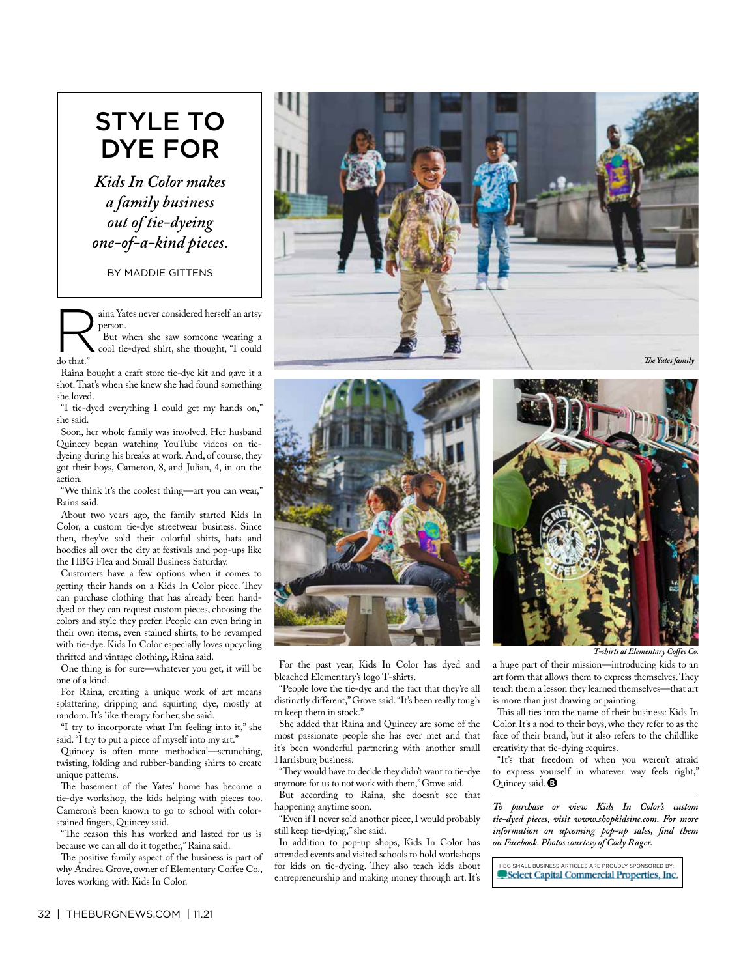# STYLE TO DYE FOR

*Kids In Color makes a family business out of tie-dyeing one-of-a-kind pieces.*

BY MADDIE GITTENS

aina Yates never considered herself an artsy person.

But when she saw someone wearing a cool tie-dyed shirt, she thought, "I could do that."

Raina bought a craft store tie-dye kit and gave it a shot. That's when she knew she had found something she loved.

"I tie-dyed everything I could get my hands on," she said.

Soon, her whole family was involved. Her husband Quincey began watching YouTube videos on tiedyeing during his breaks at work. And, of course, they got their boys, Cameron, 8, and Julian, 4, in on the action.

"We think it's the coolest thing—art you can wear," Raina said.

About two years ago, the family started Kids In Color, a custom tie-dye streetwear business. Since then, they've sold their colorful shirts, hats and hoodies all over the city at festivals and pop-ups like the HBG Flea and Small Business Saturday.

Customers have a few options when it comes to getting their hands on a Kids In Color piece. They can purchase clothing that has already been handdyed or they can request custom pieces, choosing the colors and style they prefer. People can even bring in their own items, even stained shirts, to be revamped with tie-dye. Kids In Color especially loves upcycling thrifted and vintage clothing, Raina said.

One thing is for sure—whatever you get, it will be one of a kind.

For Raina, creating a unique work of art means splattering, dripping and squirting dye, mostly at random. It's like therapy for her, she said.

"I try to incorporate what I'm feeling into it," she said. "I try to put a piece of myself into my art."

Quincey is often more methodical—scrunching, twisting, folding and rubber-banding shirts to create unique patterns.

The basement of the Yates' home has become a tie-dye workshop, the kids helping with pieces too. Cameron's been known to go to school with colorstained fngers, Quincey said.

"The reason this has worked and lasted for us is because we can all do it together," Raina said.

The positive family aspect of the business is part of why Andrea Grove, owner of Elementary Coffee Co., loves working with Kids In Color.







For the past year, Kids In Color has dyed and bleached Elementary's logo T-shirts.

"People love the tie-dye and the fact that they're all distinctly diferent," Grove said. "It's been really tough to keep them in stock."

She added that Raina and Quincey are some of the most passionate people she has ever met and that it's been wonderful partnering with another small Harrisburg business.

"They would have to decide they didn't want to tie-dye anymore for us to not work with them," Grove said.

But according to Raina, she doesn't see that happening anytime soon.

"Even if I never sold another piece, I would probably still keep tie-dying," she said.

In addition to pop-up shops, Kids In Color has attended events and visited schools to hold workshops for kids on tie-dyeing. They also teach kids about entrepreneurship and making money through art. It's

*T-shirts at Elementary Cofee Co.*

a huge part of their mission—introducing kids to an art form that allows them to express themselves. They teach them a lesson they learned themselves—that art is more than just drawing or painting.

This all ties into the name of their business: Kids In Color. It's a nod to their boys, who they refer to as the face of their brand, but it also refers to the childlike creativity that tie-dying requires.

"It's that freedom of when you weren't afraid to express yourself in whatever way feels right," Quincey said. <sup>1</sup>

*To purchase or view Kids In Color's custom tie-dyed pieces, visit www.shopkidsinc.com. For more information on upcoming pop-up sales, fnd them on Facebook. Photos courtesy of Cody Rager.*

HBG SMALL BUSINESS ARTICLES ARE PROUDLY SPONSORED BY:Select Capital Commercial Properties, Inc.